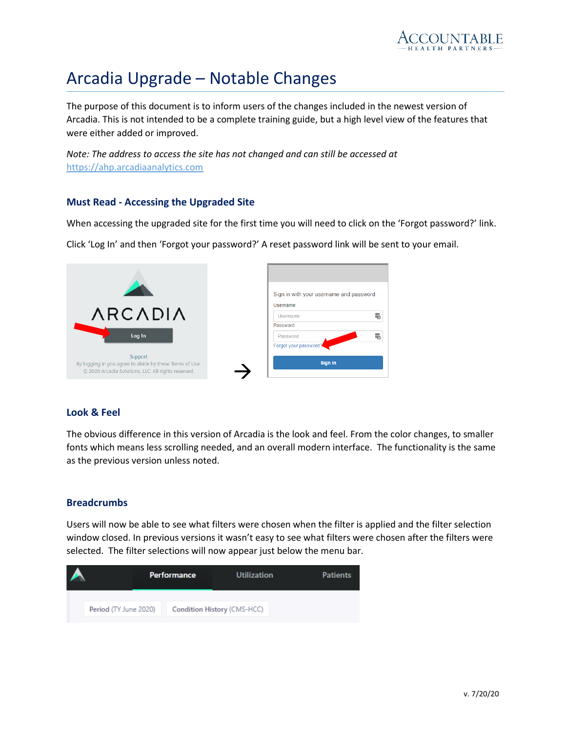

# Arcadia Upgrade – Notable Changes

The purpose of this document is to inform users of the changes included in the newest version of Arcadia. This is not intended to be a complete training guide, but a high level view of the features that were either added or improved.

*Note: The address to access the site has not changed and can still be accessed at* [https://ahp.arcadiaanalytics.com](https://ahp.arcadiaanalytics.com/)

#### **Must Read - Accessing the Upgraded Site**

When accessing the upgraded site for the first time you will need to click on the 'Forgot password?' link.

Click 'Log In' and then 'Forgot your password?' A reset password link will be sent to your email.

|                                                                                                                | Sign in with your username and password |
|----------------------------------------------------------------------------------------------------------------|-----------------------------------------|
| <b>ARCADIA</b>                                                                                                 | Usemame<br>Username<br>w                |
| Log In                                                                                                         | Password<br>畾<br>Password               |
| Support                                                                                                        | Forgot your password?<br>Sign in        |
| By logging in you agree to abide by these Terms of Use.<br>© 2020 Arcadia Solutions, LLC. All rights reserved. |                                         |

#### **Look & Feel**

The obvious difference in this version of Arcadia is the look and feel. From the color changes, to smaller fonts which means less scrolling needed, and an overall modern interface. The functionality is the same as the previous version unless noted.

#### **Breadcrumbs**

Users will now be able to see what filters were chosen when the filter is applied and the filter selection window closed. In previous versions it wasn't easy to see what filters were chosen after the filters were selected. The filter selections will now appear just below the menu bar.

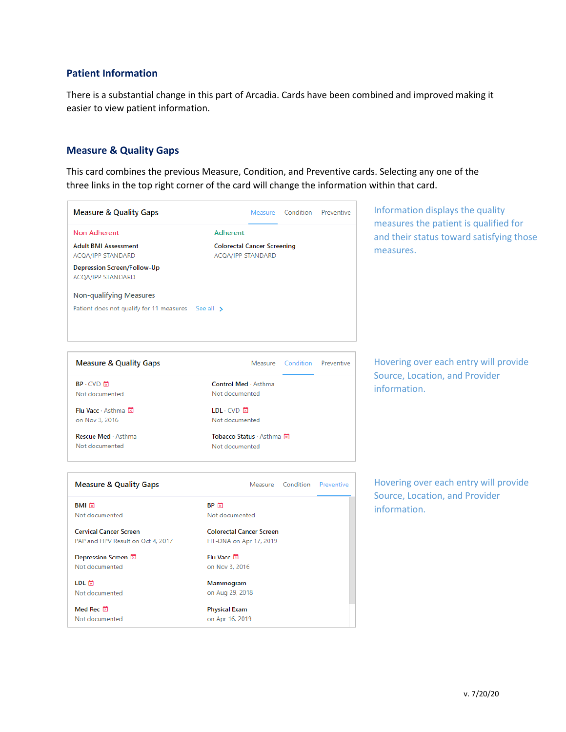## **Patient Information**

There is a substantial change in this part of Arcadia. Cards have been combined and improved making it easier to view patient information.

## **Measure & Quality Gaps**

This card combines the previous Measure, Condition, and Preventive cards. Selecting any one of the three links in the top right corner of the card will change the information within that card.

| <b>Measure &amp; Quality Gaps</b>                                                                                  |                                                            |                   | Measure Condition Preventive                          | Information displays the quality      |  |
|--------------------------------------------------------------------------------------------------------------------|------------------------------------------------------------|-------------------|-------------------------------------------------------|---------------------------------------|--|
| <b>Non Adherent</b>                                                                                                | Adherent                                                   |                   |                                                       | measures the patient is qualified for |  |
| <b>Adult BMI Assessment</b><br><b>Colorectal Cancer Screening</b><br>ACQA/IPP STANDARD<br><b>ACQA/IPP STANDARD</b> |                                                            |                   | and their status toward satisfying those<br>measures. |                                       |  |
| Depression Screen/Follow-Up<br>ACQA/IPP STANDARD                                                                   |                                                            |                   |                                                       |                                       |  |
| <b>Non-qualifying Measures</b>                                                                                     |                                                            |                   |                                                       |                                       |  |
| Patient does not qualify for 11 measures See all >                                                                 |                                                            |                   |                                                       |                                       |  |
| <b>Measure &amp; Quality Gaps</b>                                                                                  | Measure                                                    | Condition         | Preventive                                            | Hovering over each entry will provide |  |
| $BP \cdot CVD$ $\Box$                                                                                              | Control Med · Asthma                                       |                   |                                                       | Source, Location, and Provider        |  |
| Not documented                                                                                                     | Not documented                                             |                   |                                                       | information.                          |  |
| Flu Vacc · Asthma 因                                                                                                | $LDL \cdot CVD$ 因                                          |                   |                                                       |                                       |  |
| on Nov 3, 2016                                                                                                     | Not documented                                             |                   |                                                       |                                       |  |
| Rescue Med · Asthma                                                                                                | Tobacco Status · Asthma 因                                  |                   |                                                       |                                       |  |
| Not documented                                                                                                     | Not documented                                             |                   |                                                       |                                       |  |
| <b>Measure &amp; Quality Gaps</b>                                                                                  |                                                            | Measure Condition | Preventive                                            | Hovering over each entry will provide |  |
| BMI 因                                                                                                              | BP M                                                       |                   |                                                       | Source, Location, and Provider        |  |
| Not documented                                                                                                     | Not documented                                             |                   |                                                       | information.                          |  |
| <b>Cervical Cancer Screen</b><br>PAP and HPV Result on Oct 4, 2017                                                 | <b>Colorectal Cancer Screen</b><br>FIT-DNA on Apr 17, 2019 |                   |                                                       |                                       |  |
| Depression Screen 因<br>Not documented                                                                              | Flu Vacc 因<br>on Nov 3, 2016                               |                   |                                                       |                                       |  |
| LDL E<br>Not documented                                                                                            | Mammogram<br>on Aug 29, 2018                               |                   |                                                       |                                       |  |
| Med Rec <b>E</b><br>Not documented                                                                                 | <b>Physical Exam</b><br>on Apr 16, 2019                    |                   |                                                       |                                       |  |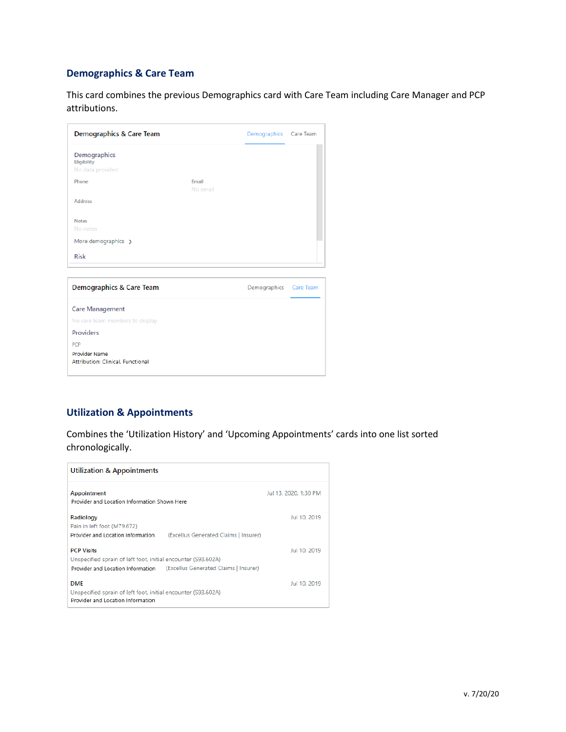## **Demographics & Care Team**

This card combines the previous Demographics card with Care Team including Care Manager and PCP attributions.

| Demographics & Care Team                           |                   | Demographics Care Team |  |
|----------------------------------------------------|-------------------|------------------------|--|
| Demographics<br>Eligibility<br>No data provided    |                   |                        |  |
| Phone                                              | Email<br>No email |                        |  |
| <b>Address</b>                                     |                   |                        |  |
| <b>Notes</b><br>No notes                           |                   |                        |  |
| More demographics >                                |                   |                        |  |
| <b>Risk</b>                                        |                   |                        |  |
| Demographics & Care Team                           |                   | Demographics Care Team |  |
| <b>Care Management</b>                             |                   |                        |  |
| No care team members to display                    |                   |                        |  |
| <b>Providers</b>                                   |                   |                        |  |
| PCP                                                |                   |                        |  |
| Provider Name<br>Attribution: Clinical, Functional |                   |                        |  |

## **Utilization & Appointments**

Combines the 'Utilization History' and 'Upcoming Appointments' cards into one list sorted chronologically.

| <b>Utilization &amp; Appointments</b>                                                                            |                                                                         |                       |
|------------------------------------------------------------------------------------------------------------------|-------------------------------------------------------------------------|-----------------------|
| Appointment<br>Provider and Location Information Shown Here                                                      |                                                                         | Jul 13, 2020, 1:30 PM |
| Radiology<br>Pain in left foot (M79.672)<br>Provider and Location Information                                    | (Excellus Generated Claims   Insurer)                                   | Jul 10, 2019          |
| <b>PCP Visits</b><br>Unspecified sprain of left foot, initial encounter (S93.602A)                               | Provider and Location Information (Excellus Generated Claims   Insurer) | Jul 10, 2019          |
| <b>DME</b><br>Unspecified sprain of left foot, initial encounter (S93.602A)<br>Provider and Location Information |                                                                         | Jul 10, 2019          |